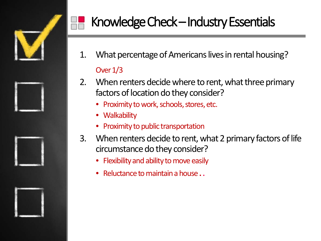

# Knowledge Check–Industry Essentials

- 1. What percentage of Americans lives in rental housing? Over 1/3
- 2. When renters decide where to rent, what three primary factors of location do they consider?
	- Proximity to work, schools, stores, etc.
	- Walkability
	- Proximity to public transportation
- 3. When renters decide to rent, what 2 primary factors of life circumstance do they consider?
	- Flexibility and ability to move easily
	- Reluctance to maintain a house **.**.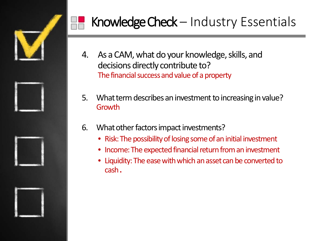

# Knowledge Check - Industry Essentials

- 4. As a CAM, what do your knowledge, skills, and decisions directly contribute to? The financial success and value of a property
- 5. What term describes an investment to increasing in value? Growth
- 6. What other factors impact investments?
	- Risk: The possibility of losing some of an initial investment
	- Income: The expected financial return from an investment
	- Liquidity: The ease with which an asset can be converted to cash **.**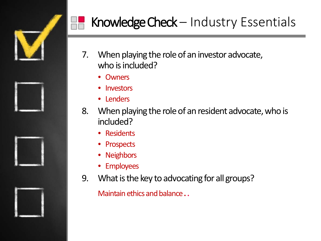

# Knowledge Check  $-$  Industry Essentials

- 7. When playing the role of an investor advocate, who is included?
	- Owners
	- **Investors**
	- Lenders
- 8. When playing the role of an resident advocate, who is included?
	- Residents
	- Prospects
	- Neighbors
	- Employees
- 9. What is the key to advocating for all groups?

Maintain ethics and balance **..**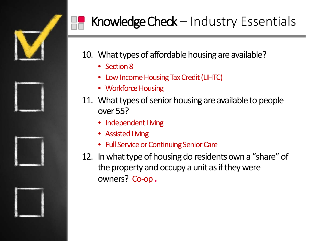

# Knowledge Check - Industry Essentials

10. What types of affordable housing are available?

- Section 8
- Low Income Housing Tax Credit (LIHTC)
- Workforce Housing
- 11. What types of senior housing are available to people over 55?
	- Independent Living
	- Assisted Living
	- Full Service or Continuing Senior Care
- 12. In what type of housing do residents own a "share" of the property and occupy a unit as if they were owners? Co-op **.**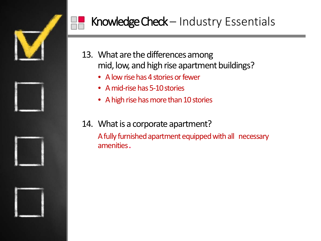



- 13. What are the differences among mid, low, and high rise apartment buildings?
	- A low rise has 4 stories or fewer
	- A mid-rise has 5-10 stories
	- A high rise has more than 10 stories
- 14. What is a corporate apartment?

A fully furnished apartment equipped with all necessary amenities**.**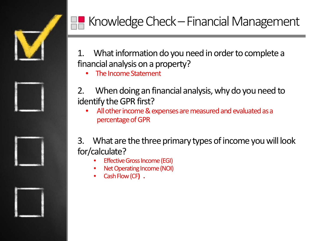

# Knowledge Check–Financial Management

1. What information do you need in order to complete a financial analysis on a property?

• The Income Statement

- 2. When doing an financial analysis, why do you need to identify the GPR first?
	- All other income & expenses are measured and evaluated as a percentage of GPR
- 3. What are the three primary types of income you will look for/calculate?
	- **Effective Gross Income (EGI)**
	- Net Operating Income (NOI)
	- Cash Flow (CF**) .**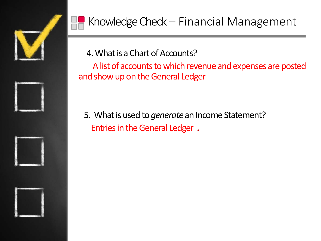

4. What is a Chart of Accounts?

A list of accounts to which revenue and expenses are posted and show up on the General Ledger

5. What is used to *generate* an Income Statement? Entries in the General Ledger **.**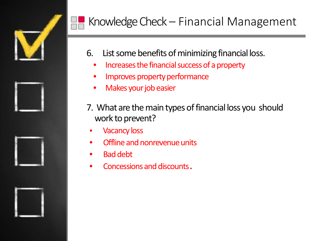

# Knowledge Check – Financial Management

- 6. List some benefits of minimizing financial loss.
	- Increases the financial success of a property
	- Improves property performance
	- Makes your job easier
- 7. What are the main types of financial loss you should work to prevent?
- Vacancy loss
- Offline and nonrevenue units
- Bad debt
- Concessions and discounts**.**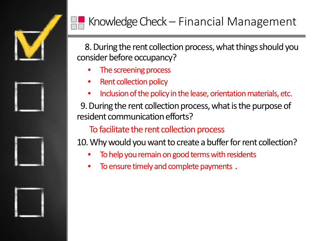

### Knowledge Check – Financial Management

8. During the rent collection process, what things should you consider before occupancy?

- The screening process
- Rent collection policy
- Inclusion of the policy in the lease, orientation materials, etc.

9. During the rent collection process, what is the purpose of resident communication efforts?

To facilitate the rent collection process

10. Why would you want to create a buffer for rent collection?

- To help you remain on good terms with residents
- To ensure timely and complete payments **.**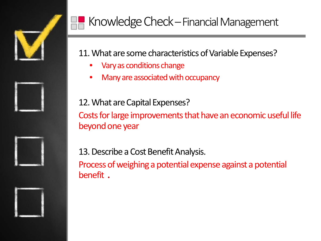

### Knowledge Check–Financial Management

#### 11. What are some characteristics of Variable Expenses?

- Vary as conditions change
- Many are associated with occupancy

12. What are Capital Expenses? Costs for large improvements that have an economic useful life beyond one year

13. Describe a Cost Benefit Analysis. Process of weighing a potential expense against a potential benefit **.**

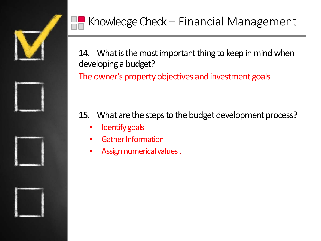

14. What is the most important thing to keep in mind when developing a budget?

The owner's property objectives and investment goals

15. What are the steps to the budget development process?

- Identify goals
- Gather Information
- Assign numerical values**.**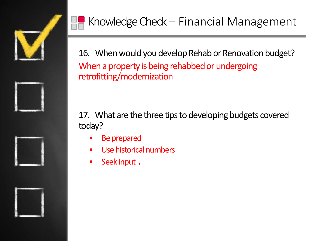

16. When would you develop Rehab or Renovation budget? When a property is being rehabbed or undergoing retrofitting/modernization

17. What are the three tips to developing budgets covered today?

- Be prepared
- Use historical numbers
- Seek input **.**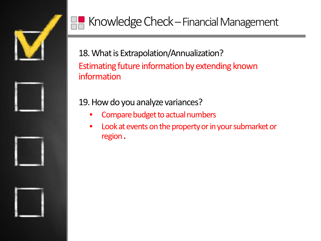

# Knowledge Check–Financial Management

18. What is Extrapolation/Annualization? Estimating future information by extending known information

#### 19. How do you analyze variances?

- Compare budget to actual numbers
- Look at events on the property or in your submarket or region**.**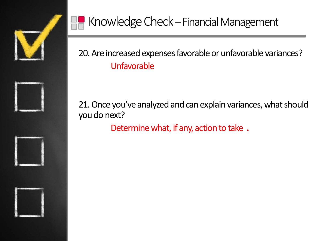

20. Are increased expenses favorable or unfavorable variances? Unfavorable

21. Once you've analyzed and can explain variances, what should you do next?

Determine what, if any, action to take **.**

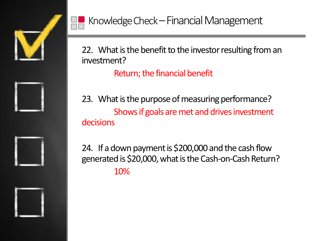



22. What is the benefit to the investor resulting from an investment?

Return; the financial benefit

23. What is the purpose of measuring performance? Shows if goals are met and drives investment decisions

24. If a down payment is \$200,000 and the cash flow generated is \$20,000, what is the Cash-on-Cash Return? 10%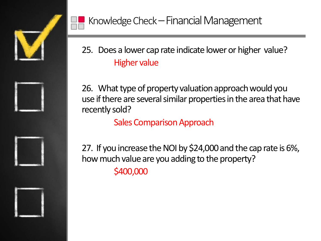



25. Does a lower cap rate indicate lower or higher value? Higher value

26. What type of property valuation approach would you use if there are several similar properties in the area that have recently sold?

Sales Comparison Approach

27. If you increase the NOI by \$24,000 and the cap rate is 6%, how much value are you adding to the property? \$400,000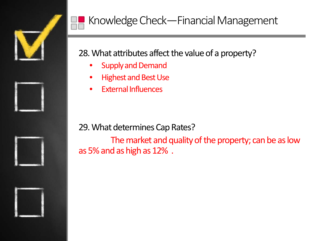

#### 28. What attributes affect the value of a property?

- **Supply and Demand**
- Highest and Best Use
- External Influences

29. What determines Cap Rates?

The market and quality of the property; can be as low as 5% and as high as 12% .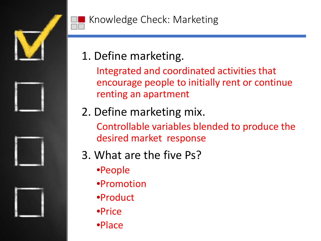





1. Define marketing.

Integrated and coordinated activities that encourage people to initially rent or continue renting an apartment

- 2. Define marketing mix. Controllable variables blended to produce the desired market response
- 3. What are the five Ps?
	- •People
	- •Promotion
	- •Product
	- •Price
	- •Place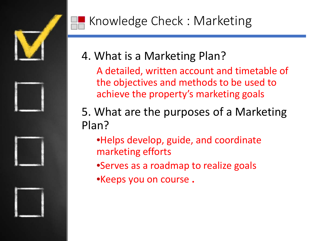

# Knowledge Check : Marketing



A detailed, written account and timetable of the objectives and methods to be used to achieve the property's marketing goals

5. What are the purposes of a Marketing Plan?

- •Helps develop, guide, and coordinate marketing efforts
- •Serves as a roadmap to realize goals
- •Keeps you on course **.**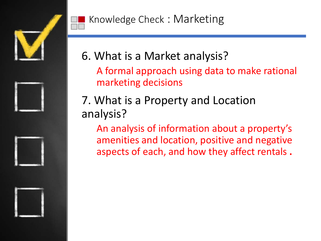





7. What is a Property and Location analysis?

An analysis of information about a property's amenities and location, positive and negative aspects of each, and how they affect rentals **.**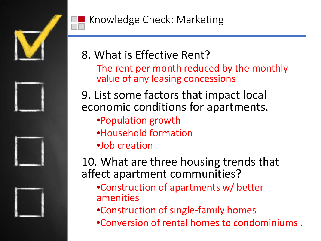







The rent per month reduced by the monthly value of any leasing concessions

9. List some factors that impact local economic conditions for apartments.

- •Population growth
- •Household formation
- •Job creation

10. What are three housing trends that affect apartment communities?

- •Construction of apartments w/ better amenities
- •Construction of single-family homes
- •Conversion of rental homes to condominiums **.**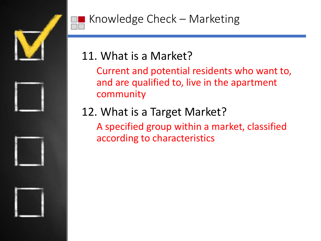

### 11. What is a Market?

Current and potential residents who want to, and are qualified to, live in the apartment community

# 12. What is a Target Market?

A specified group within a market, classified according to characteristics

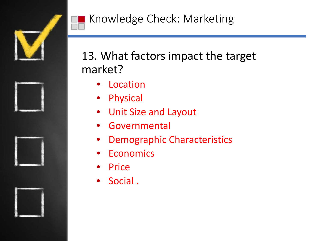

### 13. What factors impact the target market?

- **Location**
- **Physical**
- Unit Size and Layout
- **Governmental**
- Demographic Characteristics
- **Economics**
- **Price**
- Social **.**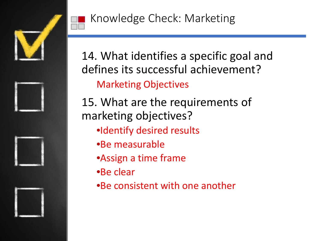

14. What identifies a specific goal and defines its successful achievement? Marketing Objectives

- 15. What are the requirements of marketing objectives?
	- •Identify desired results
	- •Be measurable
	- •Assign a time frame
	- •Be clear
	- •Be consistent with one another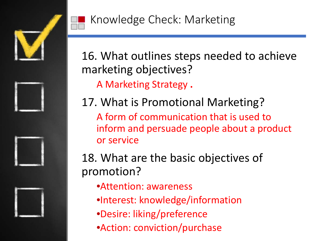

16. What outlines steps needed to achieve marketing objectives?

A Marketing Strategy **.**

17. What is Promotional Marketing?

A form of communication that is used to inform and persuade people about a product or service

18. What are the basic objectives of promotion?

- •Attention: awareness
- •Interest: knowledge/information
- •Desire: liking/preference
- •Action: conviction/purchase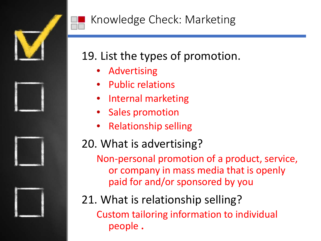

### Knowledge Check: Marketing

### 19. List the types of promotion.

- **Advertising**
- Public relations
- Internal marketing
- Sales promotion
- Relationship selling

### 20. What is advertising?

Non-personal promotion of a product, service, or company in mass media that is openly paid for and/or sponsored by you

21. What is relationship selling? Custom tailoring information to individual people **.**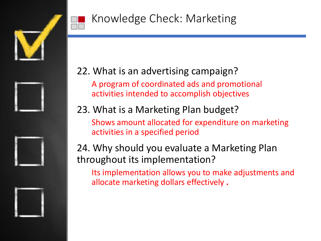



#### 22. What is an advertising campaign?

A program of coordinated ads and promotional activities intended to accomplish objectives

#### 23. What is a Marketing Plan budget?

Shows amount allocated for expenditure on marketing activities in a specified period

24. Why should you evaluate a Marketing Plan throughout its implementation?

Its implementation allows you to make adjustments and allocate marketing dollars effectively **.**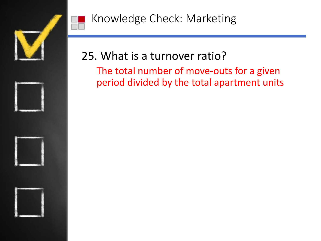



# 25. What is a turnover ratio?

The total number of move-outs for a given period divided by the total apartment units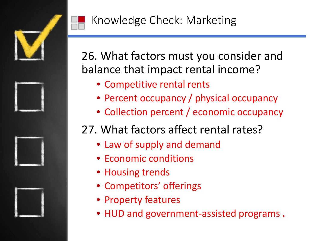

26. What factors must you consider and balance that impact rental income?

- Competitive rental rents
- Percent occupancy / physical occupancy
- Collection percent / economic occupancy

### 27. What factors affect rental rates?

- Law of supply and demand
- Economic conditions
- Housing trends
- Competitors' offerings
- Property features
- HUD and government-assisted programs **.**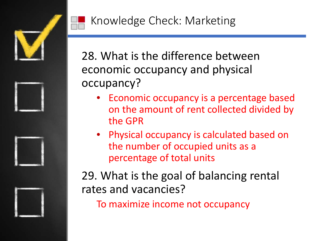

28. What is the difference between economic occupancy and physical occupancy?

- Economic occupancy is a percentage based on the amount of rent collected divided by the GPR
- Physical occupancy is calculated based on the number of occupied units as a percentage of total units

29. What is the goal of balancing rental rates and vacancies?

To maximize income not occupancy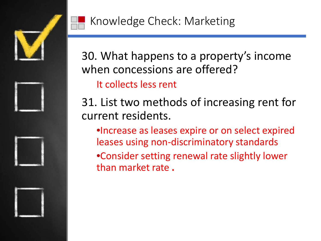

30. What happens to a property's income when concessions are offered?

It collects less rent

31. List two methods of increasing rent for current residents.

•Increase as leases expire or on select expired leases using non-discriminatory standards

•Consider setting renewal rate slightly lower than market rate **.**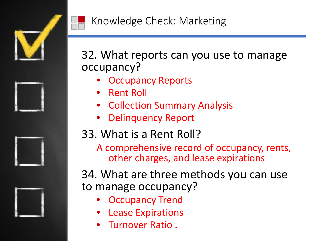

32. What reports can you use to manage occupancy?

- **Occupancy Reports**
- Rent Roll
- Collection Summary Analysis
- Delinquency Report

### 33. What is a Rent Roll?

A comprehensive record of occupancy, rents, other charges, and lease expirations

34. What are three methods you can use to manage occupancy?

- **Occupancy Trend**
- **Lease Expirations**
- Turnover Ratio **.**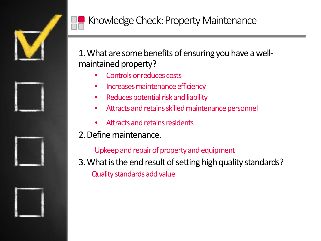



#### Knowledge Check: Property Maintenance

1. What are some benefits of ensuring you have a wellmaintained property?

- Controls or reduces costs
- Increases maintenance efficiency
- Reduces potential risk and liability
- Attracts and retains skilled maintenance personnel
- Attracts and retains residents

#### 2. Define maintenance.

Upkeep and repair of property and equipment

3. What is the end result of setting high quality standards? Quality standards add value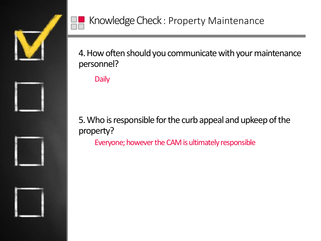



4. How often should you communicate with your maintenance personnel?

**Daily** 

5. Who is responsible for the curb appeal and upkeep of the property?

Everyone; however the CAM is ultimately responsible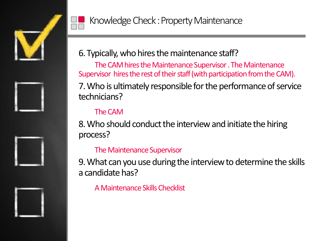



6. Typically, who hires the maintenance staff?

The CAM hires the Maintenance Supervisor . The Maintenance Supervisor hires the rest of their staff (with participation from the CAM). 7. Who is ultimately responsible for the performance of service technicians?

#### The CAM

8. Who should conduct the interview and initiate the hiring process?

#### The Maintenance Supervisor

9. What can you use during the interview to determine the skills a candidate has?

A Maintenance Skills Checklist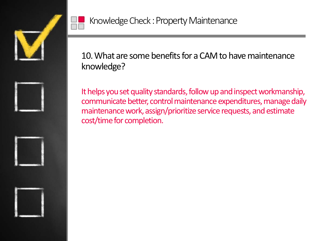







Knowledge Check: Property Maintenance

10. What are some benefits for a CAM to have maintenance knowledge?

It helps you set quality standards, follow up and inspect workmanship, communicate better, control maintenance expenditures, manage daily maintenance work, assign/prioritize service requests, and estimate cost/time for completion.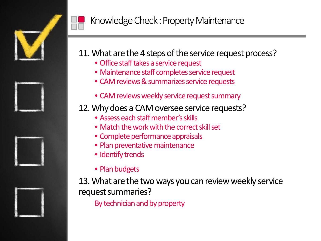



#### Knowledge Check: Property Maintenance

#### 11. What are the 4 steps of the service request process?

- Office staff takes a service request
- Maintenance staff completes service request
- CAM reviews & summarizes service requests
- CAM reviews weekly service request summary

#### 12. Why does a CAM oversee service requests?

- Assess each staff member's skills
- Match the work with the correct skill set
- Complete performance appraisals
- Plan preventative maintenance
- Identify trends
- Plan budgets

13. What are the two ways you can review weekly service request summaries?

By technician and by property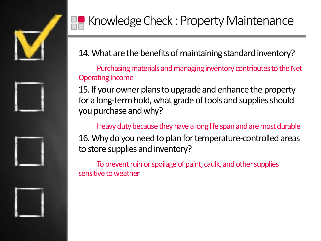



14. What are the benefits of maintaining standard inventory?

Purchasing materials and managing inventory contributes to the Net Operating Income

15. If your owner plans to upgrade and enhance the property for a long-term hold, what grade of tools and supplies should you purchase and why?

Heavy duty because they have a long life span and are most durable 16. Why do you need to plan for temperature-controlled areas

to store supplies and inventory?

To prevent ruin or spoilage of paint, caulk, and other supplies sensitive to weather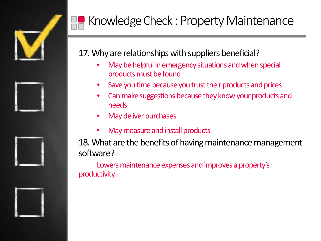







# Knowledge Check : Property Maintenance

#### 17. Why are relationships with suppliers beneficial?

- May be helpful in emergency situations and when special products must be found
- Save you time because you trust their products and prices
- Can make suggestions because they know your products and needs
- May deliver purchases
- May measure and install products

18. What are the benefits of having maintenance management software?

Lowers maintenance expenses and improves a property's productivity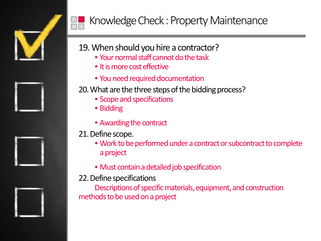





## Knowledge Check : Property Maintenance

- 19. When should you hire a contractor?
	- Your normal staff cannot do the task
	- It is more cost effective
	- You need required documentation

20. What are the three steps of the bidding process?

- Scope and specifications
- Bidding
- Awarding the contract

#### 21. Define scope.

- Work to be performed under a contract or subcontract to complete a project
- Must contain a detailed job specification

#### 22. Define specifications

Descriptions of specific materials, equipment, and construction methods to be used on a project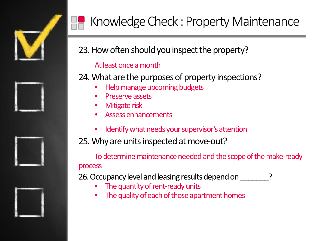

23. How often should you inspect the property?

#### At least once a month

24. What are the purposes of property inspections?

- Help manage upcoming budgets
- Preserve assets
- Mitigate risk
- Assess enhancements
- Identify what needs your supervisor's attention

25. Why are units inspected at move-out?

To determine maintenance needed and the scope of the make-ready process

26. Occupancy level and leasing results depend on

- The quantity of rent-ready units
- The quality of each of those apartment homes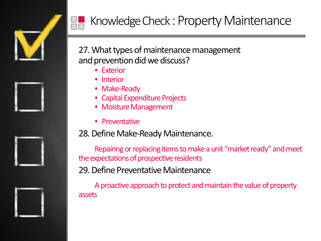







# Knowledge Check : Property Maintenance

#### 27. What types of maintenance management and prevention did we discuss?

- Exterior
- Interior
- Make-Ready
- Capital Expenditure Projects
- Moisture Management
- Preventative

#### 28. Define Make-Ready Maintenance.

Repairing or replacing items to make a unit "market ready" and meet the expectations of prospective residents

29. Define Preventative Maintenance

A proactive approach to protect and maintain the value of property assets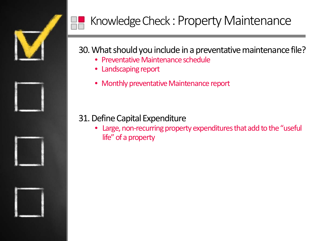







# Knowledge Check : Property Maintenance

#### 30. What should you include in a preventative maintenance file?

- Preventative Maintenance schedule
- Landscaping report
- Monthly preventative Maintenance report

#### 31. Define Capital Expenditure

• Large, non-recurring property expenditures that add to the "useful life" of a property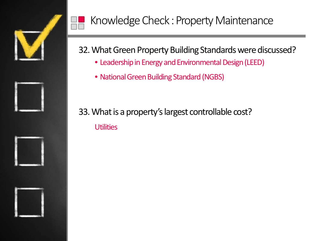

#### 32. What Green Property Building Standards were discussed?

- Leadership in Energy and Environmental Design (LEED)
- National Green Building Standard (NGBS)
- 33. What is a property's largest controllable cost? **Utilities**

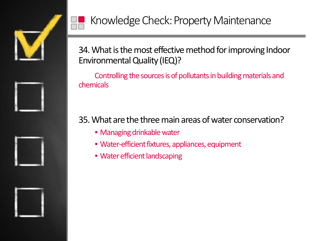



34. What is the most effective method for improving Indoor Environmental Quality (IEQ)?

Controlling the sources is of pollutants in building materials and chemicals

35. What are the three main areas of water conservation?

- Managing drinkable water
- Water-efficient fixtures, appliances, equipment
- Water efficient landscaping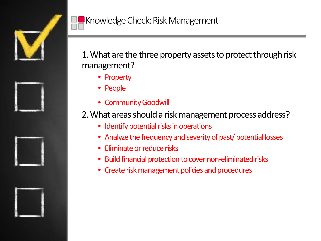

1. What are the three property assets to protect through risk management?

- Property
- People
- Community Goodwill

2. What areas should a risk management process address?

- Identify potential risks in operations
- Analyze the frequency and severity of past/ potential losses
- Eliminate or reduce risks
- Build financial protection to cover non-eliminated risks
- Create risk management policies and procedures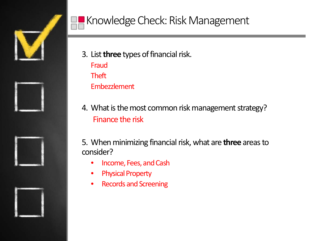



- 3. List **three** types of financial risk. Fraud Theft Embezzlement
- 4. What is the most common risk management strategy? Finance the risk
- 5. When minimizing financial risk, what are **three** areas to consider?
	- Income, Fees, and Cash
	- Physical Property
	- Records and Screening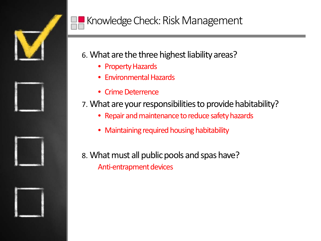

## Knowledge Check: Risk Management

- 6. What are the three highest liability areas?
	- Property Hazards
	- Environmental Hazards
	- Crime Deterrence
- 7. What are your responsibilities to provide habitability?
	- Repair and maintenance to reduce safety hazards
	- Maintaining required housing habitability
- 8. What must all public pools and spas have? Anti-entrapment devices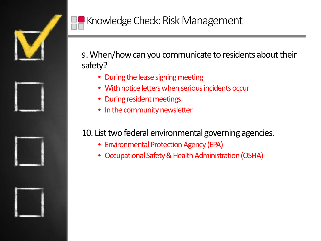

9. When/how can you communicate to residents about their safety?

- During the lease signing meeting
- With notice letters when serious incidents occur
- During resident meetings
- In the community newsletter

#### 10. List two federal environmental governing agencies.

- Environmental Protection Agency (EPA)
- Occupational Safety & Health Administration (OSHA)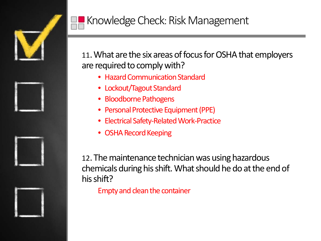

## **K** Knowledge Check: Risk Management

11. What are the six areas of focus for OSHA that employers are required to comply with?

- Hazard Communication Standard
- Lockout/Tagout Standard
- Bloodborne Pathogens
- Personal Protective Equipment (PPE)
- Electrical Safety-Related Work-Practice
- OSHA Record Keeping

12. The maintenance technician was using hazardous chemicals during his shift. What should he do at the end of his shift?

Empty and clean the container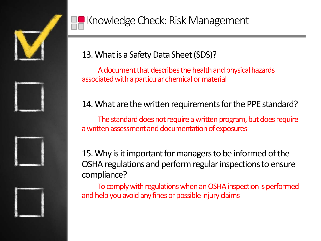



13. What is a Safety Data Sheet (SDS)?

A document that describes the health and physical hazards associated with a particular chemical or material

#### 14. What are the written requirements for the PPE standard?

The standard does not require a written program, but does require a written assessment and documentation of exposures

15. Why is it important for managers to be informed of the OSHA regulations and perform regular inspections to ensure compliance?

To comply with regulations when an OSHA inspection is performed and help you avoid any fines or possible injury claims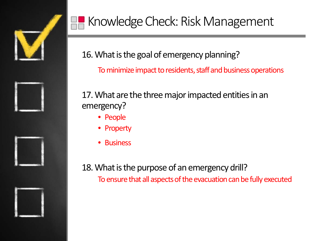

# Knowledge Check: Risk Management

16. What is the goal of emergency planning?

To minimize impact to residents, staff and business operations

17. What are the three major impacted entities in an emergency?

- People
- Property
- **Business**

18. What is the purpose of an emergency drill? To ensure that all aspects of the evacuation can be fully executed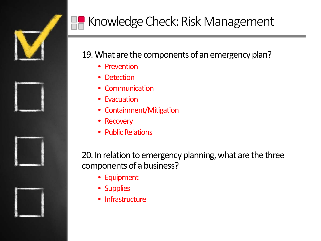

#### 19. What are the components of an emergency plan?

- Prevention
- Detection
- Communication
- Evacuation
- Containment/Mitigation
- Recovery
- Public Relations

20. In relation to emergency planning, what are the three components of a business?

- Equipment
- Supplies
- Infrastructure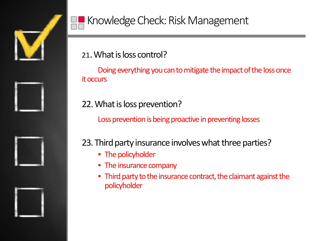





#### 21. What is loss control?

Doing everything you can to mitigate the impact of the loss once it occurs

#### 22. What is loss prevention?

Loss prevention is being proactive in preventing losses

#### 23. Third party insurance involves what three parties?

- The policyholder
- The insurance company
- Third party to the insurance contract, the claimant against the policyholder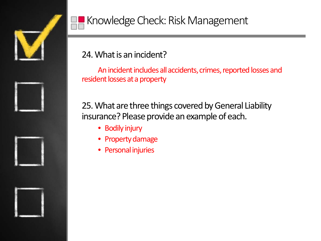



#### 24. What is an incident?

An incident includes all accidents, crimes, reported losses and resident losses at a property

25. What are three things covered by General Liability insurance? Please provide an example of each.

- Bodily injury
- Property damage
- Personal injuries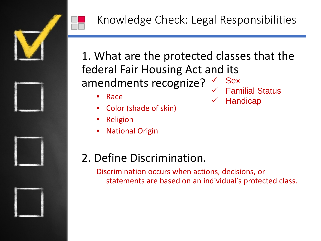

1. What are the protected classes that the federal Fair Housing Act and its amendments recognize? Sex

- Race
- Color (shade of skin)
- **Religion**
- **National Origin**
- Familial Status
- **Handicap**

- 2. Define Discrimination.
	- Discrimination occurs when actions, decisions, or statements are based on an individual's protected class.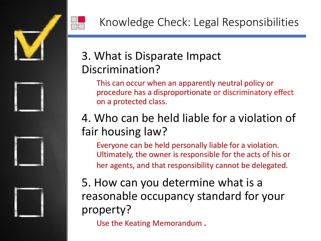

## 3. What is Disparate Impact Discrimination?

This can occur when an apparently neutral policy or procedure has a disproportionate or discriminatory effect on a protected class.

## 4. Who can be held liable for a violation of fair housing law?

Everyone can be held personally liable for a violation. Ultimately, the owner is responsible for the acts of his or her agents, and that responsibility cannot be delegated.

5. How can you determine what is a reasonable occupancy standard for your property?

Use the Keating Memorandum **.**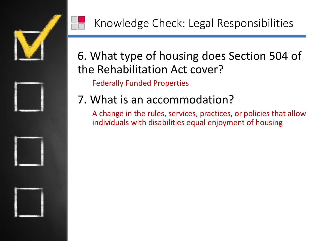

## 6. What type of housing does Section 504 of the Rehabilitation Act cover?

Federally Funded Properties

## 7. What is an accommodation?

A change in the rules, services, practices, or policies that allow individuals with disabilities equal enjoyment of housing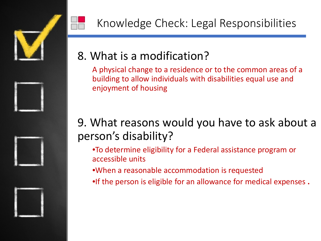



## 8. What is a modification?

A physical change to a residence or to the common areas of a building to allow individuals with disabilities equal use and enjoyment of housing

Knowledge Check: Legal Responsibilities

### 9. What reasons would you have to ask about a person's disability?

- •To determine eligibility for a Federal assistance program or accessible units
- •When a reasonable accommodation is requested
- •If the person is eligible for an allowance for medical expenses **.**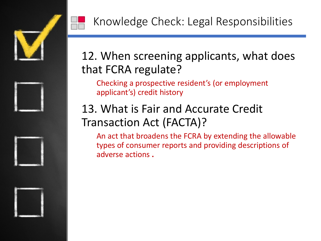

## 12. When screening applicants, what does that FCRA regulate?

Checking a prospective resident's (or employment applicant's) credit history

## 13. What is Fair and Accurate Credit Transaction Act (FACTA)?

An act that broadens the FCRA by extending the allowable types of consumer reports and providing descriptions of adverse actions **.**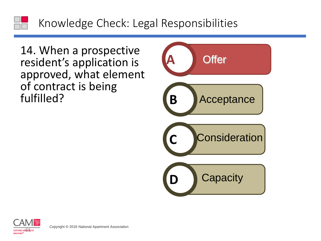14. When a prospective resident's application is approved, what element of contract is being fulfilled?



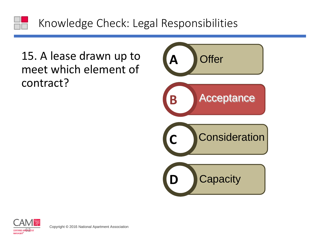### 15. A lease drawn up to meet which element of contract?





**COPYRIGHT COPYRIGHT COPYRIGHT COPYRIGHT COPYRIGHT COPYRIGHT COPYRIGHT COPYRIGHT COPYRIGHT COPYRIGHT COPYRIGHT COPYRIGHT COPYRIGHT COPYRIGHT COPYRIGHT COPYRIGHT COPYRIGHT COPYRIGHT COPYRIGHT COPYRIGHT COPYRIGHT COPYRIGHT C**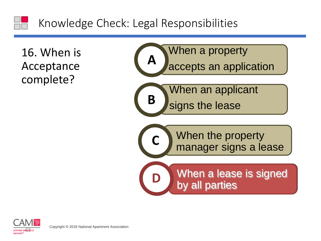16. When is Acceptance complete?



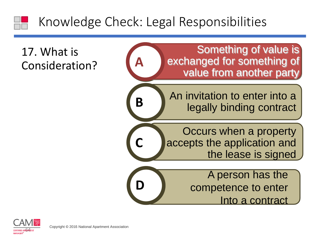## 17. What is Consideration?



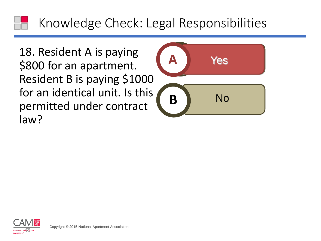18. Resident A is paying \$800 for an apartment. Resident B is paying \$1000 for an identical unit. Is this permitted under contract law? In a partment.<br>
B is paying \$1000<br>
This under contract<br>
Under contract<br>
Property and Apartment Association



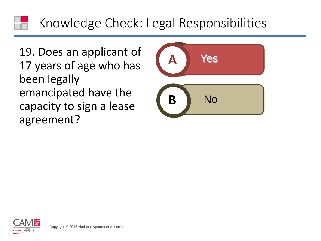19. Does an applicant of 17 years of age who has been legally emancipated have the capacity to sign a lease agreement? The discrimination of age who has<br>Ily<br>ted have the<br>posign a lease<br>t?



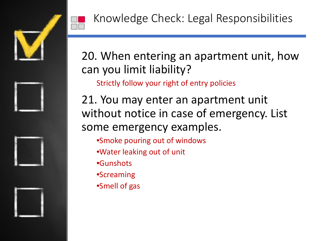

## 20. When entering an apartment unit, how can you limit liability?

Strictly follow your right of entry policies

21. You may enter an apartment unit without notice in case of emergency. List some emergency examples.

- •Smoke pouring out of windows
- •Water leaking out of unit
- •Gunshots
- •Screaming
- •Smell of gas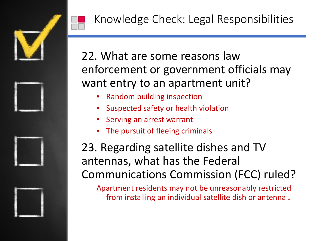

## 22. What are some reasons law enforcement or government officials may want entry to an apartment unit?

- Random building inspection
- Suspected safety or health violation
- Serving an arrest warrant
- The pursuit of fleeing criminals

## 23. Regarding satellite dishes and TV antennas, what has the Federal Communications Commission (FCC) ruled?

Apartment residents may not be unreasonably restricted from installing an individual satellite dish or antenna **.**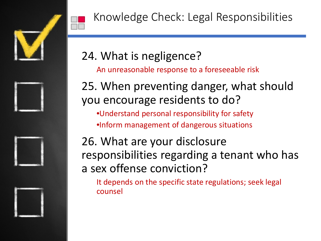

## 24. What is negligence?

An unreasonable response to a foreseeable risk

## 25. When preventing danger, what should you encourage residents to do?

- •Understand personal responsibility for safety
- •Inform management of dangerous situations

## 26. What are your disclosure responsibilities regarding a tenant who has a sex offense conviction?

It depends on the specific state regulations; seek legal counsel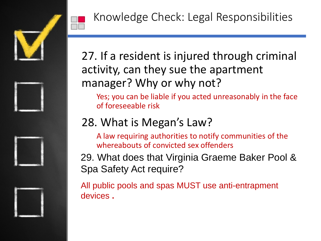



# 27. If a resident is injured through criminal activity, can they sue the apartment

Knowledge Check: Legal Responsibilities

# manager? Why or why not?

Yes; you can be liable if you acted unreasonably in the face of foreseeable risk

## 28. What is Megan's Law?

A law requiring authorities to notify communities of the whereabouts of convicted sex offenders

29. What does that Virginia Graeme Baker Pool & Spa Safety Act require?

All public pools and spas MUST use anti-entrapment devices **.**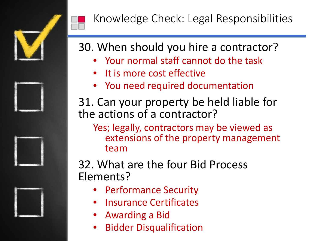

## 30. When should you hire a contractor?

- Your normal staff cannot do the task
- It is more cost effective
- You need required documentation
- 31. Can your property be held liable for the actions of a contractor?
	- Yes; legally, contractors may be viewed as extensions of the property management team

## 32. What are the four Bid Process Elements?

- Performance Security
- Insurance Certificates
- Awarding a Bid
- Bidder Disqualification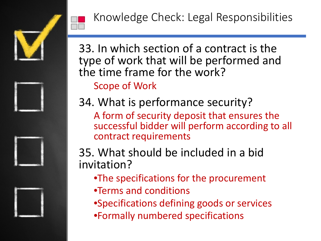



33. In which section of a contract is the type of work that will be performed and the time frame for the work? Scope of Work

34. What is performance security?

A form of security deposit that ensures the successful bidder will perform according to all contract requirements

35. What should be included in a bid invitation?

- •The specifications for the procurement
- •Terms and conditions
- •Specifications defining goods or services
- •Formally numbered specifications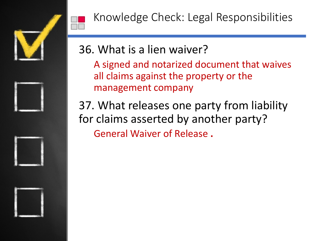



Knowledge Check: Legal Responsibilities

## 36. What is a lien waiver?

A signed and notarized document that waives all claims against the property or the management company

37. What releases one party from liability for claims asserted by another party? General Waiver of Release **.**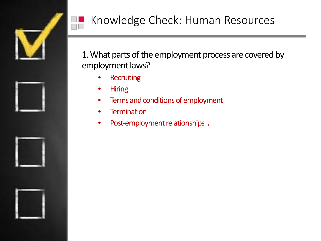

1. What parts of the employment process are covered by employment laws?

- **Recruiting**
- Hiring
- Terms and conditions of employment
- Termination
- Post-employment relationships **.**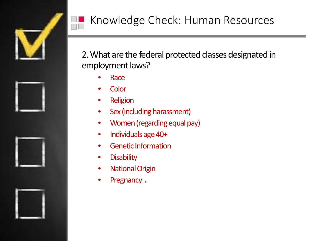

2. What are the federal protected classes designated in employment laws?

- Race
- **Color**
- **Religion**
- Sex (including harassment)
- Women (regarding equal pay)
- Individuals age 40+
- Genetic Information
- Disability
- National Origin
- Pregnancy **.**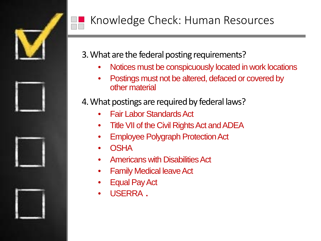

3. What are the federal posting requirements?

- Notices must be conspicuously located in work locations
- Postings must not be altered, defaced or covered by other material
- 4. What postings are required by federal laws?
	- Fair Labor Standards Act
	- Title VII of the Civil Rights Act and ADEA
	- Employee Polygraph Protection Act
	- OSHA
	- Americans with Disabilities Act
	- Family Medical leave Act
	- Equal Pay Act
	- USERRA **.**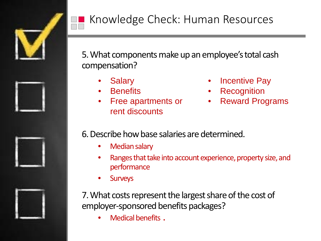

5. What components make up an employee's total cash compensation?

- **Salary**
- **Benefits**
- Free apartments or rent discounts
- **Incentive Pay**
- **Recognition**
- **Reward Programs**

6. Describe how base salaries are determined.

- Median salary
- Ranges that take into account experience, property size, and performance
- **Surveys**

7. What costs represent the largest share of the cost of employer-sponsored benefits packages?

• Medical benefits **.**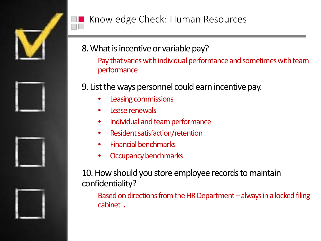

- 8. What is incentive or variable pay?
	- Pay that varies with individual performance and sometimes with team performance
- 9. List the ways personnel could earn incentive pay.
	- Leasing commissions
	- Lease renewals
	- Individual and team performance
	- Resident satisfaction/retention
	- Financial benchmarks
	- Occupancy benchmarks

10. How should you store employee records to maintain confidentiality?

Based on directions from the HR Department  $-$  always in a locked filing cabinet **.**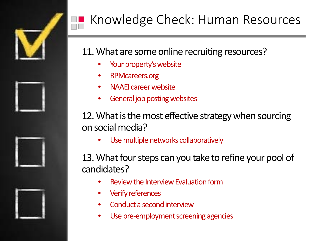

- 11. What are some online recruiting resources?
	- Your property's website
	- RPMcareers.org
	- NAAEI career website
	- General job posting websites

12. What is the most effective strategy when sourcing on social media?

• Use multiple networks collaboratively

13. What four steps can you take to refine your pool of candidates?

- Review the Interview Evaluation form
- Verify references
- Conduct a second interview
- Use pre-employment screening agencies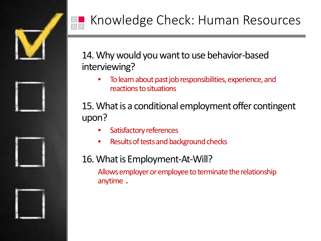

### 14. Why would you want to use behavior-based interviewing?

• To learn about past job responsibilities, experience, and reactions to situations

15. What is a conditional employment offer contingent upon?

- Satisfactory references
- Results of tests and background checks

### 16. What is Employment-At-Will?

Allows employer or employee to terminate the relationship anytime **.**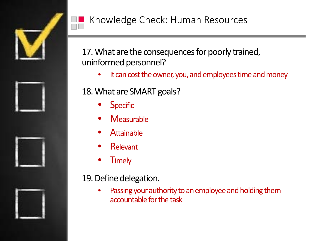

17. What are the consequences for poorly trained, uninformed personnel?

• It can cost the owner, you, and employees time and money

18. What are SMART goals?

- **Specific**
- **Measurable**
- **Attainable**
- Relevant
- **Timely**

#### 19. Define delegation.

Passing your authority to an employee and holding them accountable for the task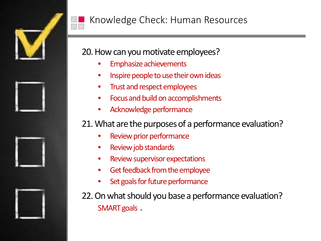

#### 20. How can you motivate employees?

- Emphasize achievements
- Inspire people to use their own ideas
- Trust and respect employees
- Focus and build on accomplishments
- Acknowledge performance

#### 21. What are the purposes of a performance evaluation?

- Review prior performance
- Review job standards
- Review supervisor expectations
- Get feedback from the employee
- Set goals for future performance
- 22. On what should you base a performance evaluation? SMART goals **.**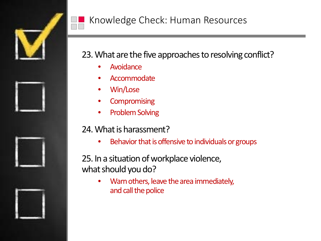

### 23. What are the five approaches to resolving conflict?

- **Avoidance**
- Accommodate
- Win/Lose
- **Compromising**
- Problem Solving

#### 24. What is harassment?

• Behavior that is offensive to individuals or groups

25. In a situation of workplace violence, what should you do?

> • Warn others, leave the area immediately, and call the police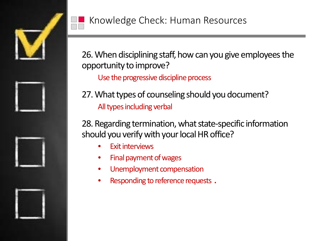



26. When disciplining staff, how can you give employees the opportunity to improve?

Use the progressive discipline process

27. What types of counseling should you document? All types including verbal

28. Regarding termination, what state-specific information should you verify with your local HR office?

- **Exit interviews**
- Final payment of wages
- Unemployment compensation
- Responding to reference requests **.**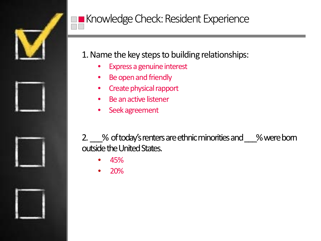

### 1. Name the key steps to building relationships:

- Express a genuine interest
- Be open and friendly
- Create physical rapport
- Be an active listener
- Seek agreement

2. 2. A of today's renters are ethnic minorities and 2. Were born outside the United States.

- 45%
- 20%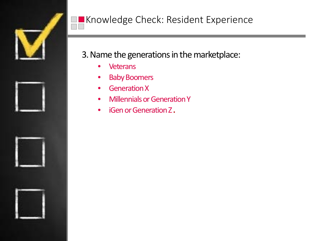

3. Name the generations in the marketplace:

- Veterans
- Baby Boomers
- Generation X
- Millennials or Generation Y
- iGenor Generation Z **.**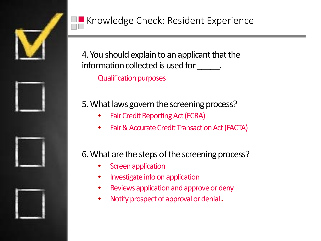

4. You should explain to an applicant that the information collected is used for \_\_\_\_\_\_.

Qualification purposes

### 5. What laws govern the screening process?

- Fair Credit Reporting Act (FCRA)
- Fair & Accurate Credit Transaction Act (FACTA)

### 6. What are the steps of the screening process?

- **Screen application**
- Investigate info on application
- Reviews application and approve or deny
- Notify prospect of approval or denial **.**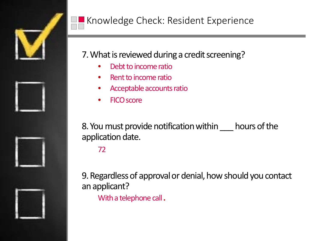

### 7. What is reviewed during a credit screening?

- Debt to income ratio
- Rent to income ratio
- Acceptable accounts ratio
- FICO score

8. You must provide notification within \_\_\_ hours of the application date.

72

9. Regardless of approval or denial, how should you contact an applicant?

With a telephone call **.**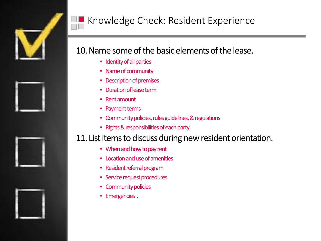

#### 10. Name some of the basic elements of the lease.

- Identity of all parties
- Name of community
- Description of premises
- Duration of lease term
- Rent amount
- Payment terms
- Community policies, rules guidelines, & regulations
- Rights & responsibilities of each party

#### 11. List items to discuss during new resident orientation.

- When and how to pay rent
- Location and use of amenities
- Resident referral program
- Service request procedures
- Community policies
- Emergencies **.**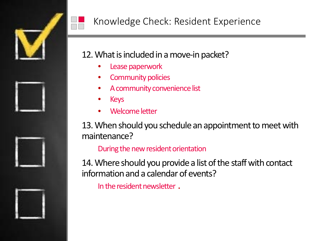

#### 12. What is included in a move-in packet?

- Lease paperwork
- Community policies
- A community convenience list
- Keys
- Welcome letter

13. When should you schedule an appointment to meet with maintenance?

#### During the new resident orientation

14. Where should you provide a list of the staff with contact information and a calendar of events?

In the resident newsletter **.**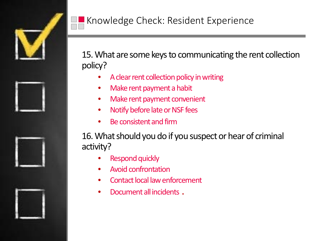

15. What are some keys to communicating the rent collection policy?

- A clear rent collection policy in writing
- Make rent payment a habit
- Make rent payment convenient
- Notify before late or NSF fees
- Be consistent and firm

16. What should you do if you suspect or hear of criminal activity?

- Respond quickly
- Avoid confrontation
- Contact local law enforcement
- Document all incidents **.**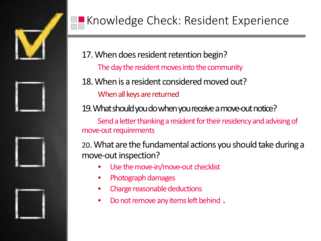

17. When does resident retention begin? The day the resident moves into the community

18. When is a resident considered moved out?

When all keys are returned

19. What should you do when you receive a move-out notice?

Send a letter thanking a resident for their residency and advising of move-out requirements

20. What are the fundamental actions you should take during a move-out inspection?

- Use the move-in/move-out checklist
- Photograph damages
- Charge reasonable deductions
- Do not remove any items left behind **.**